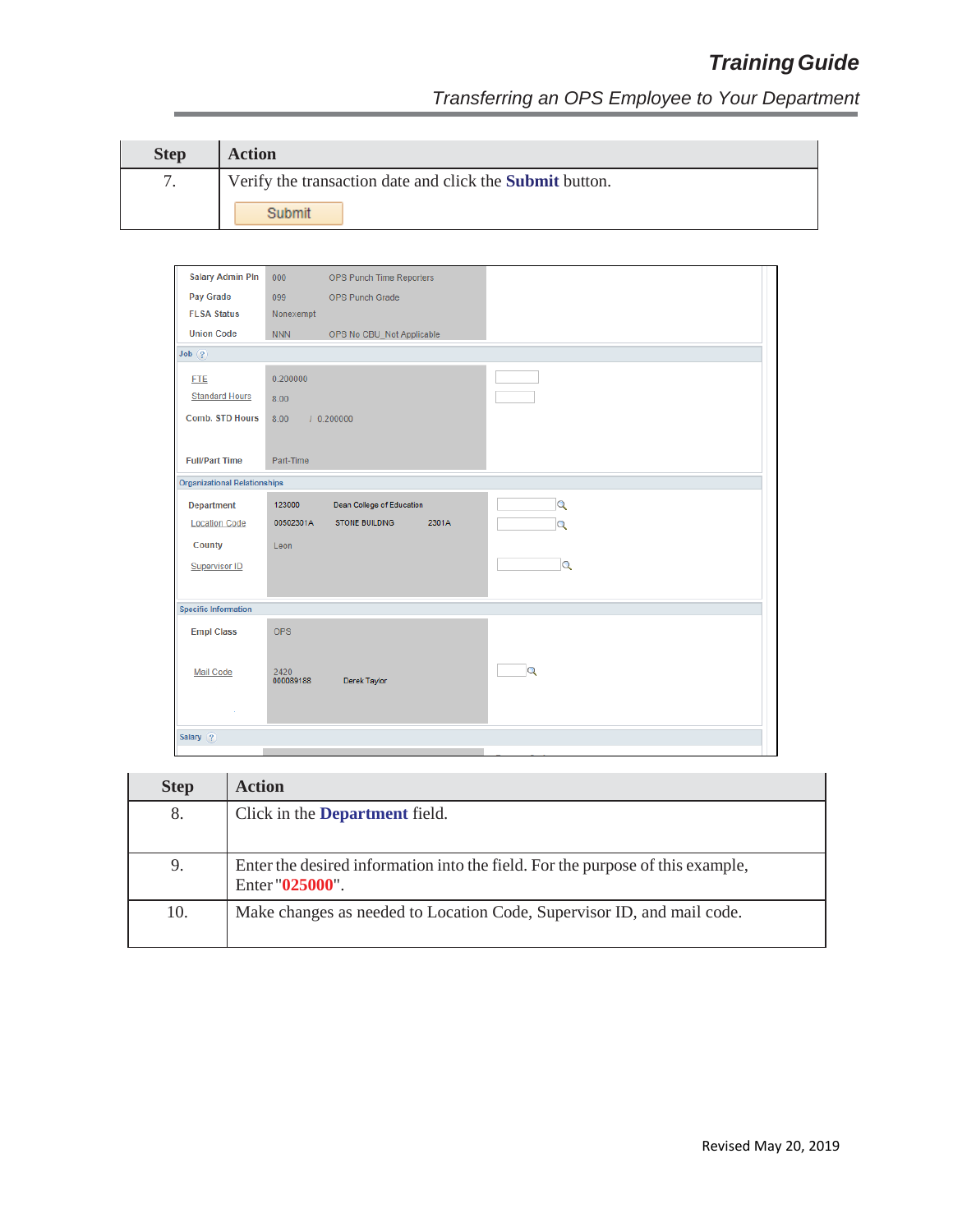| <b>Step</b> | <b>Action</b>                                                   |
|-------------|-----------------------------------------------------------------|
|             | Verify the transaction date and click the <b>Submit</b> button. |
|             | Submit                                                          |

| <b>Salary Admin Pln</b>             | 000        | OPS Punch Time Reporters       |                         |
|-------------------------------------|------------|--------------------------------|-------------------------|
| Pay Grade                           | 099        | OPS Punch Grade                |                         |
| <b>FLSA Status</b>                  | Nonexempt  |                                |                         |
| <b>Union Code</b>                   | <b>NNN</b> | OPS No CBU_Not Applicable      |                         |
| Job(?)                              |            |                                |                         |
| <b>FTE</b>                          | 0.200000   |                                |                         |
| <b>Standard Hours</b>               | 8.00       |                                |                         |
| <b>Comb. STD Hours</b>              | 8.00       | 10.200000                      |                         |
|                                     |            |                                |                         |
| <b>Full/Part Time</b>               | Part-Time  |                                |                         |
| <b>Organizational Relationships</b> |            |                                |                         |
|                                     |            |                                |                         |
| <b>Department</b>                   | 123000     | Dean College of Education      | $\overline{Q}$          |
| <b>Location Code</b>                | 00502301A  | 2301A<br><b>STONE BUILDING</b> | $\overline{Q}$          |
| County                              | Leon       |                                |                         |
| <b>Supervisor ID</b>                |            |                                | Q                       |
|                                     |            |                                |                         |
| <b>Specific Information</b>         |            |                                |                         |
| <b>Empl Class</b>                   | <b>OPS</b> |                                |                         |
|                                     |            |                                |                         |
| <b>Mail Code</b>                    | 2420       |                                | $\overline{\mathbf{Q}}$ |
|                                     | 000089188  | Derek Taylor                   |                         |
|                                     |            |                                |                         |
|                                     |            |                                |                         |
| Salary $(2)$                        |            |                                |                         |
|                                     |            |                                |                         |

| <b>Step</b> | <b>Action</b>                                                                                     |
|-------------|---------------------------------------------------------------------------------------------------|
| 8.          | Click in the <b>Department</b> field.                                                             |
|             |                                                                                                   |
| 9.          | Enter the desired information into the field. For the purpose of this example,<br>Enter "025000". |
| 10.         | Make changes as needed to Location Code, Supervisor ID, and mail code.                            |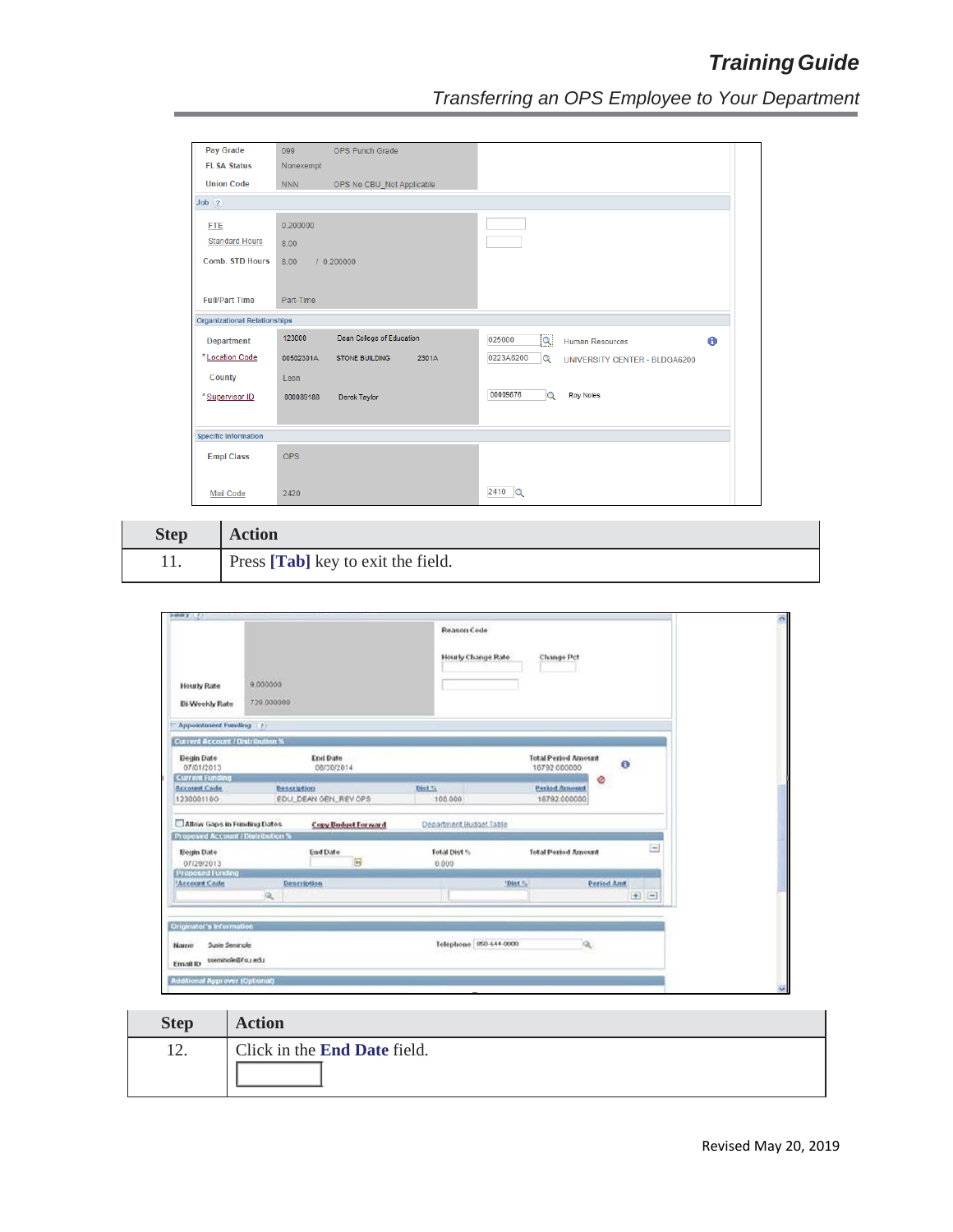| Pay Grade                           | 099<br><b>OPS Punch Grade</b>               |                                                                  |
|-------------------------------------|---------------------------------------------|------------------------------------------------------------------|
| <b>FLSA Status</b>                  | Nonexempt                                   |                                                                  |
| <b>Union Code</b>                   | <b>NNN</b><br>OPS No CBU_Not Applicable     |                                                                  |
| Job(?)                              |                                             |                                                                  |
| <b>FTE</b>                          | 0.200000                                    |                                                                  |
| <b>Standard Hours</b>               | 8.00                                        |                                                                  |
| <b>Comb. STD Hours</b>              | 8.00<br>10.200000                           |                                                                  |
|                                     |                                             |                                                                  |
| <b>Full/Part Time</b>               | Part-Time                                   |                                                                  |
| <b>Organizational Relationships</b> |                                             |                                                                  |
| <b>Department</b>                   | 123000<br>Dean College of Education         | 025000<br>$\overline{\mathbf{Q}}$<br>0<br><b>Human Resources</b> |
| *Location Code                      | 2301A<br>00502301A<br><b>STONE BUILDING</b> | 0223A6200<br>$\overline{Q}$<br>UNIVERSITY CENTER - BLDGA6200     |
| County                              | Leon                                        |                                                                  |
| * Supervisor ID                     | Derek Taylor<br>000089188                   | 00009876<br><b>Roy Noles</b><br>$\alpha$                         |
|                                     |                                             |                                                                  |
| <b>Specific Information</b>         |                                             |                                                                  |
| <b>Empl Class</b>                   | <b>OPS</b>                                  |                                                                  |
|                                     |                                             |                                                                  |
|                                     |                                             |                                                                  |

| <b>Step</b> | <b>Action</b>                      |
|-------------|------------------------------------|
| 11.         | Press [Tab] key to exit the field. |

| <b>Hourly Rate</b><br>Bi-Weekly Rate     | 9.000000<br>720.000000 |                                 |                         | Hourly Change Rate<br><b>Change Pct</b> |                                            |                    |  |         |
|------------------------------------------|------------------------|---------------------------------|-------------------------|-----------------------------------------|--------------------------------------------|--------------------|--|---------|
| <b>Appointment Funding</b> (2)           |                        |                                 |                         |                                         |                                            |                    |  |         |
| <b>Current Account / Distribution %</b>  |                        |                                 |                         |                                         |                                            |                    |  |         |
| Begin Date<br>07/01/2013                 |                        | End Date<br>06/30/2014          |                         |                                         | <b>Total Period Amount</b><br>18792.000000 | $\bullet$          |  |         |
| <b>Current Funding</b>                   |                        |                                 |                         |                                         | Ø                                          |                    |  |         |
| <b>Account Code</b>                      | <b>Dencription</b>     |                                 | Dist.".                 |                                         | <b>Period Amount</b>                       |                    |  |         |
| 1230001100                               |                        | EDU_DEAN GEN_REV OPS            | 100,000                 |                                         | 18792.000000                               |                    |  |         |
| Allow Gaps in Funding Dates              |                        | <b>Copy Budget Forward</b>      | Department Budget Table |                                         |                                            |                    |  |         |
| <b>Proposed Account / Distribution %</b> |                        |                                 |                         |                                         |                                            |                    |  |         |
| Begin Date<br>07/29/2013                 |                        | <b>End Date</b><br>$\mathbb{R}$ | Total Dist %<br>0.000   |                                         | <b>Total Period Amount</b>                 |                    |  | Ξ       |
| <b>Proposed Funding</b>                  |                        |                                 |                         |                                         |                                            |                    |  |         |
| 'Account Code                            |                        | <b>Dencription</b>              |                         | "Dist."                                 |                                            | <b>Period Annt</b> |  |         |
|                                          | $\mathbf{a}$           |                                 |                         |                                         |                                            |                    |  | $+$ $-$ |

| <b>Step</b> | <b>Action</b>                       |
|-------------|-------------------------------------|
| 12.         | Click in the <b>End Date</b> field. |
|             |                                     |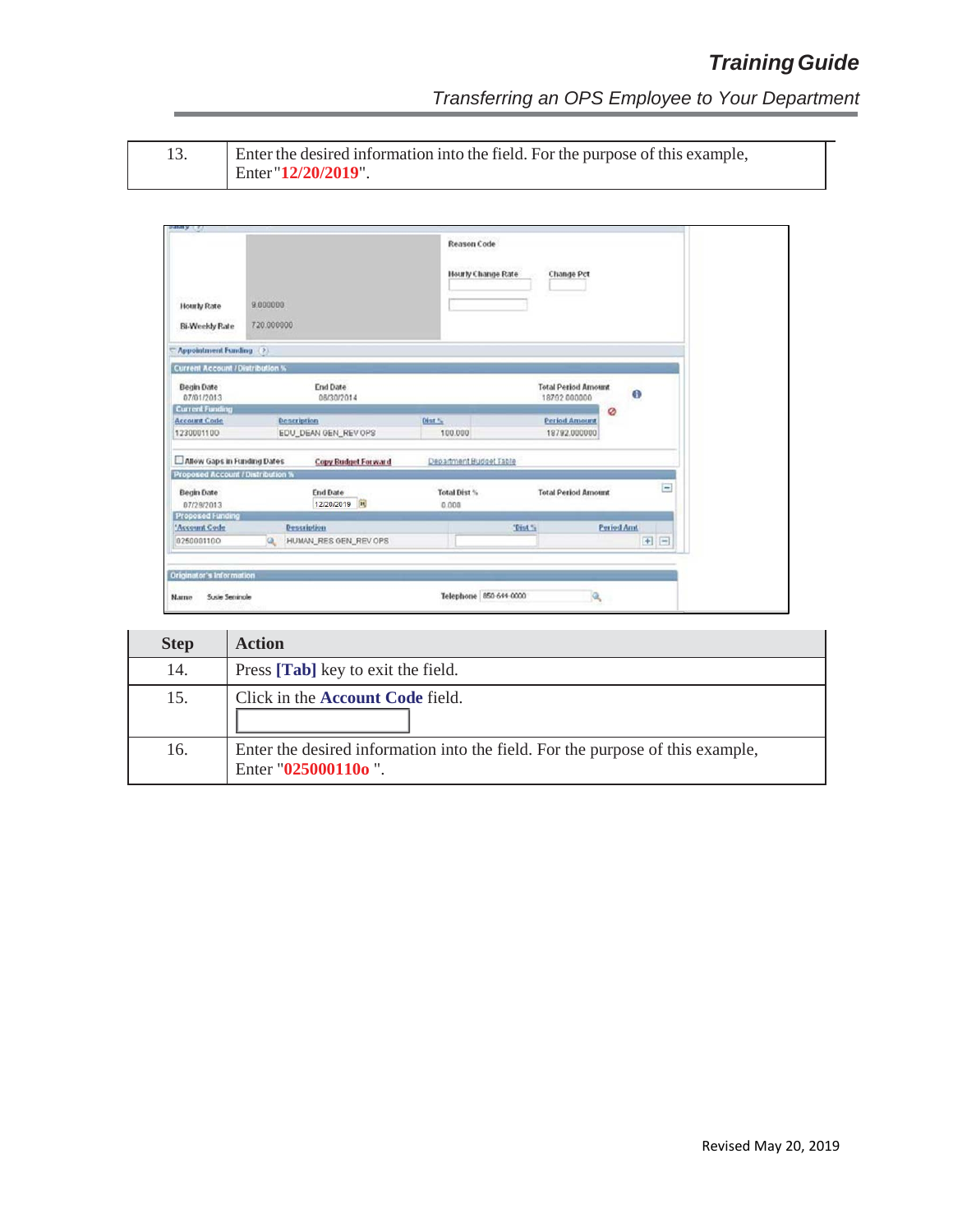*Transferring an OPS Employee to Your Department*

|  | ٧ |  |
|--|---|--|
|  |   |  |
|  |   |  |
|  |   |  |

13. Enter the desired information into the field. For the purpose of this example, Enter "**12/20/2019**".

| <b>Hourly Rate</b><br><b>Bi-Weekly Rate</b> | 9.000000<br>720.000000            |                         | <b>Reason Code</b><br><b>Change Pct</b><br>Hourly Change Rate |                          |  |  |  |
|---------------------------------------------|-----------------------------------|-------------------------|---------------------------------------------------------------|--------------------------|--|--|--|
| <b>Appointment Funding</b>                  | (2)                               |                         |                                                               |                          |  |  |  |
| <b>Current Account / Distribution %</b>     |                                   |                         |                                                               |                          |  |  |  |
| <b>Begin Date</b><br>07/01/2013             | End Date<br>08/30/2014            |                         | <b>Total Period Amount</b><br>18792 000000                    | $\bigoplus$              |  |  |  |
| <b>Current Funding</b>                      |                                   |                         | Ø                                                             |                          |  |  |  |
| <b>Account Code</b>                         | <b>Description</b>                | Dist %                  | <b>Period Amount</b>                                          |                          |  |  |  |
| 1230001100                                  | EDU_DEAN GEN_REV OPS              | 100,000                 | 18792.000000                                                  |                          |  |  |  |
| Allow Gaps in Funding Dates                 | <b>Copy Budget Forward</b>        | Department Budget Table |                                                               |                          |  |  |  |
| Proposed Account / Distribution %           |                                   |                         |                                                               |                          |  |  |  |
| <b>Begin Date</b><br>07/29/2013             | <b>End Date</b><br>12/20/2019     | Total Dist %<br>0.000   | <b>Total Period Amount</b>                                    | $\overline{\phantom{a}}$ |  |  |  |
| <b>Proposed Funding</b>                     |                                   |                         |                                                               |                          |  |  |  |
| 'Account Code                               | Description                       |                         | "Dist %<br><b>Period Amt</b>                                  |                          |  |  |  |
| 0250001100                                  | HUMAN_RES GEN_REV OPS<br>$\alpha$ |                         |                                                               | $+$ $-$                  |  |  |  |

| <b>Step</b> | <b>Action</b>                                                                                         |
|-------------|-------------------------------------------------------------------------------------------------------|
| 14.         | Press [Tab] key to exit the field.                                                                    |
| 15.         | Click in the <b>Account Code</b> field.                                                               |
| 16.         | Enter the desired information into the field. For the purpose of this example,<br>Enter "025000110o". |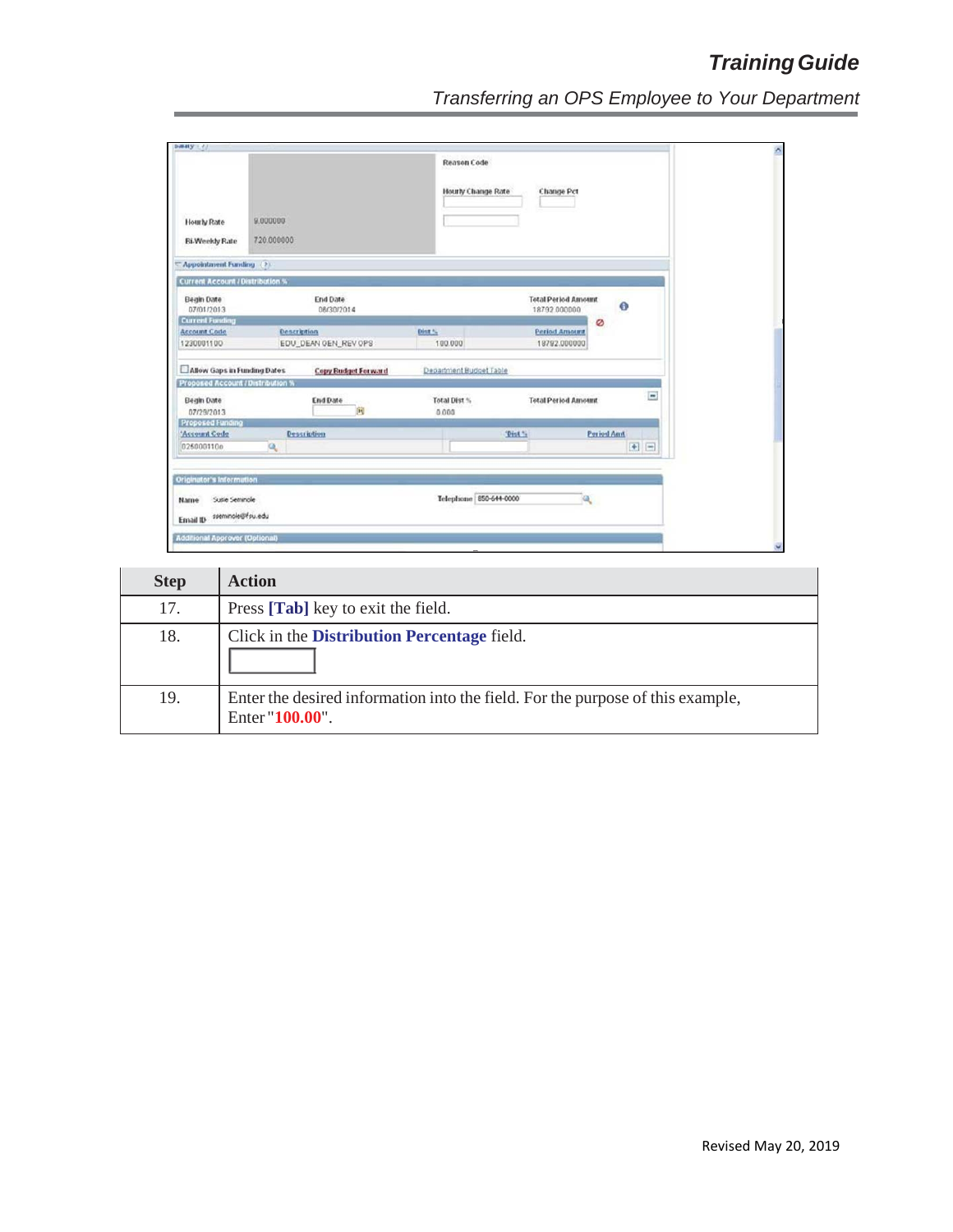| <b>Hourly Rate</b><br><b>Bi-Weekly Rate</b>             | 9.000000<br>720.000000 |                               |        | <b>Reason Code</b><br>Hourly Change Rate |        | <b>Change Pct</b>                          |                   |           |                          |
|---------------------------------------------------------|------------------------|-------------------------------|--------|------------------------------------------|--------|--------------------------------------------|-------------------|-----------|--------------------------|
| Appointment Funding (2)                                 |                        |                               |        |                                          |        |                                            |                   |           |                          |
| <b>Current Account / Distribution %</b>                 |                        |                               |        |                                          |        |                                            |                   |           |                          |
| <b>Begin Date</b><br>07/01/2013                         |                        | <b>End Date</b><br>08/30/2014 |        |                                          |        | <b>Total Period Amount</b><br>18792 000000 |                   | $\bullet$ |                          |
| <b>Current Funding</b>                                  |                        |                               |        |                                          |        |                                            | Ø                 |           |                          |
| <b>Account Code</b>                                     | Description            |                               | Dint * |                                          |        | <b>Period Amount</b>                       |                   |           |                          |
| 1230001100                                              |                        | EDU_DEAN GEN_REV OPS          |        | 100.000                                  |        | 18792.000000                               |                   |           |                          |
| Allow Gaps in Funding Dates                             |                        | Copy Budget Forward           |        | Department Budget Table                  |        |                                            |                   |           |                          |
| Proposed Account / Distribution %                       |                        |                               |        |                                          |        |                                            |                   |           |                          |
| <b>Begin Date</b><br>07/29/2013                         |                        | <b>End Date</b><br>向          |        | Total Dist %<br>0.000                    |        | <b>Total Period Amount</b>                 |                   |           | $\overline{\phantom{a}}$ |
| <b>Proposed Funding</b>                                 |                        |                               |        |                                          |        |                                            |                   |           |                          |
| 'Account Code                                           |                        | <b>Description</b>            |        |                                          | "Dist" |                                            | <b>Period And</b> |           |                          |
| 025000110o                                              | $\alpha$               |                               |        |                                          |        |                                            |                   |           | $+$ $-$                  |
| Originator's information                                |                        |                               |        |                                          |        |                                            |                   |           |                          |
| Suite Seminole<br>Name<br>sseminole@fsu.edu<br>Email ID |                        |                               |        | Telephone 850-644-0000                   |        |                                            |                   |           |                          |

| <b>Step</b> | <b>Action</b>                                                                                     |
|-------------|---------------------------------------------------------------------------------------------------|
| 17.         | Press [Tab] key to exit the field.                                                                |
| 18.         | Click in the Distribution Percentage field.                                                       |
| 19.         | Enter the desired information into the field. For the purpose of this example,<br>Enter "100.00". |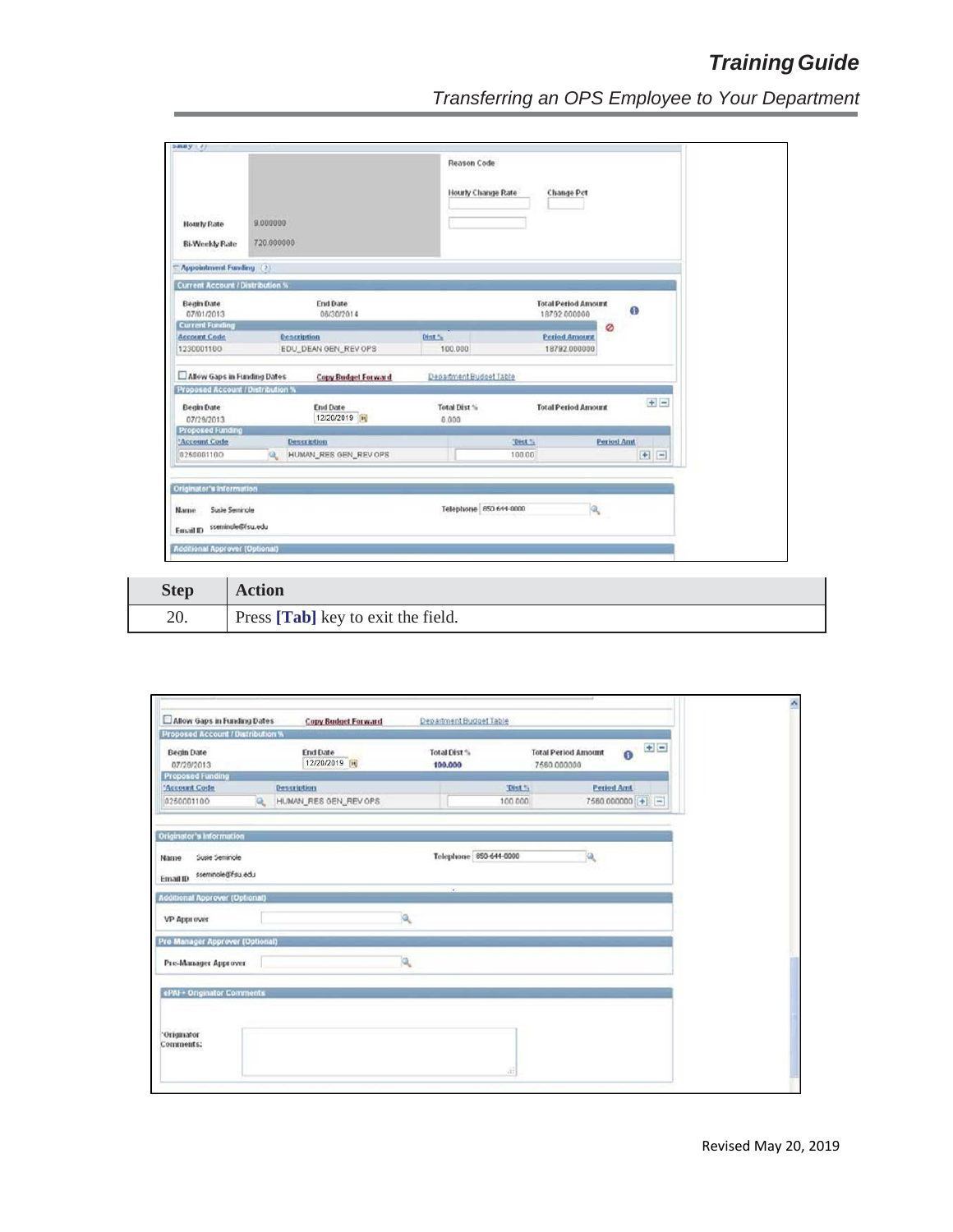| <b>Hourly Rate</b><br><b>Bi-Weekly Rate</b>                                                | 9.000000<br>720.000000 |                               |        | <b>Reason Code</b><br>Hourly Change Rate<br><b>Change Pct</b> |         |                                            |                   |           |       |
|--------------------------------------------------------------------------------------------|------------------------|-------------------------------|--------|---------------------------------------------------------------|---------|--------------------------------------------|-------------------|-----------|-------|
| Appointment Funding (2)                                                                    |                        |                               |        |                                                               |         |                                            |                   |           |       |
| <b>Current Account / Distribution %</b>                                                    |                        |                               |        |                                                               |         |                                            |                   |           |       |
| <b>Begin Date</b><br>07/01/2013                                                            |                        | <b>End Date</b><br>08/30/2014 |        |                                                               |         | <b>Total Period Amount</b><br>18792 000000 |                   | $\bullet$ |       |
| <b>Current Funding</b>                                                                     |                        |                               |        |                                                               |         |                                            | Ø                 |           |       |
| <b>Account Code</b>                                                                        | <b>Description</b>     |                               | Dist % |                                                               |         | <b>Period Amount</b>                       |                   |           |       |
| 1230001100                                                                                 |                        | EDU_DEAN GEN_REV OPS          |        | 100.000                                                       |         | 18792.000000                               |                   |           |       |
| Allow Gaps in Funding Dates                                                                |                        | <b>Copy Budget Forward</b>    |        | Department Budget Table                                       |         |                                            |                   |           |       |
| Proposed Account / Distribution %                                                          |                        |                               |        |                                                               |         |                                            |                   |           |       |
| <b>Begin Date</b><br>07/29/2013                                                            |                        | <b>End Date</b><br>12/20/2019 |        | Total Dist %<br>0.000                                         |         | <b>Total Period Amount</b>                 |                   |           | $+1-$ |
| <b>Proposed Funding</b>                                                                    |                        |                               |        |                                                               |         |                                            |                   |           |       |
| 'Account Code                                                                              | <b>Description</b>     |                               |        |                                                               | 'Dist % |                                            | <b>Period And</b> |           |       |
| 0250001100                                                                                 | Q.                     | HUMAN_RES GEN_REV OPS         |        |                                                               | 100.00  |                                            |                   | $+$ $-$   |       |
| Originator's Information<br>Susie Seminole<br><b>Name</b><br>sseminale@fsu.edu<br>Fmail ID |                        |                               |        | Telephone 850 644-0000                                        |         | $\mathbf{a}$                               |                   |           |       |

| <b>Step</b> | <b>Action</b>                      |
|-------------|------------------------------------|
| 20.         | Press [Tab] key to exit the field. |

| Proposed Account / Distribution %                       |          |                        |          |                         |         |                                           |                   |               |
|---------------------------------------------------------|----------|------------------------|----------|-------------------------|---------|-------------------------------------------|-------------------|---------------|
| <b>Begin Date</b><br>07/29/2013                         |          | End Date<br>12/20/2019 |          | Total Dist %<br>100,000 |         | <b>Total Period Amount</b><br>7580.000000 |                   | $0$ EE        |
| <b>Proposed Funding</b><br>'Account Code                |          | <b>Description</b>     |          |                         | Thist % |                                           | <b>Period Amt</b> |               |
| 0250001100                                              | $\alpha$ | HUMAN_RES GEN_REV OPS  |          |                         | 100,000 |                                           |                   | 7580.000000 + |
| Originator's Information                                |          |                        |          |                         |         |                                           |                   |               |
| Susie Seminole<br>Name<br>sseminole@fsu.edu<br>Email ID |          |                        |          | Telephone 850-644-0000  |         |                                           |                   |               |
| <b>Additional Approver (Optional)</b>                   |          |                        |          | $\cdot$                 |         |                                           |                   |               |
| VP Approver                                             |          |                        | a.       |                         |         |                                           |                   |               |
| Pre Manager Approver (Optional)                         |          |                        |          |                         |         |                                           |                   |               |
| Pre-Manager Approver                                    |          |                        | <b>Q</b> |                         |         |                                           |                   |               |
| ePAI + Originator Comments                              |          |                        |          |                         |         |                                           |                   |               |
| "Originator"<br>Comments:                               |          |                        |          |                         |         |                                           |                   |               |